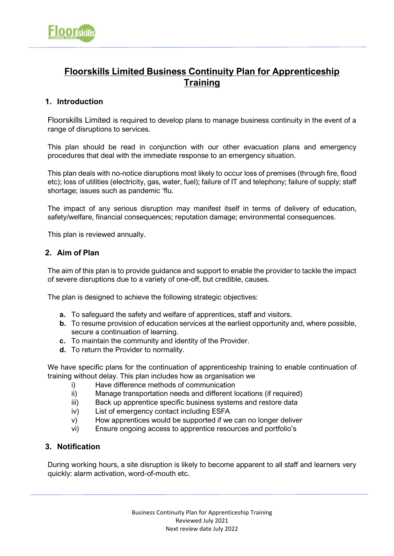# **Floorskills Limited Business Continuity Plan for Apprenticeship Training**

## **1. Introduction**

Floorskills Limited is required to develop plans to manage business continuity in the event of a range of disruptions to services.

This plan should be read in conjunction with our other evacuation plans and emergency procedures that deal with the immediate response to an emergency situation.

This plan deals with no-notice disruptions most likely to occur loss of premises (through fire, flood etc); loss of utilities (electricity, gas, water, fuel); failure of IT and telephony; failure of supply; staff shortage; issues such as pandemic 'flu.

The impact of any serious disruption may manifest itself in terms of delivery of education, safety/welfare, financial consequences; reputation damage; environmental consequences.

This plan is reviewed annually.

## **2. Aim of Plan**

The aim of this plan is to provide guidance and support to enable the provider to tackle the impact of severe disruptions due to a variety of one-off, but credible, causes.

The plan is designed to achieve the following strategic objectives:

- **a.** To safeguard the safety and welfare of apprentices, staff and visitors.
- **b.** To resume provision of education services at the earliest opportunity and, where possible, secure a continuation of learning.
- **c.** To maintain the community and identity of the Provider.
- **d.** To return the Provider to normality.

We have specific plans for the continuation of apprenticeship training to enable continuation of training without delay. This plan includes how as organisation we

- i) Have difference methods of communication
- ii) Manage transportation needs and different locations (if required)
- iii) Back up apprentice specific business systems and restore data
- iv) List of emergency contact including ESFA
- v) How apprentices would be supported if we can no longer deliver
- vi) Ensure ongoing access to apprentice resources and portfolio's

## **3. Notification**

During working hours, a site disruption is likely to become apparent to all staff and learners very quickly: alarm activation, word-of-mouth etc.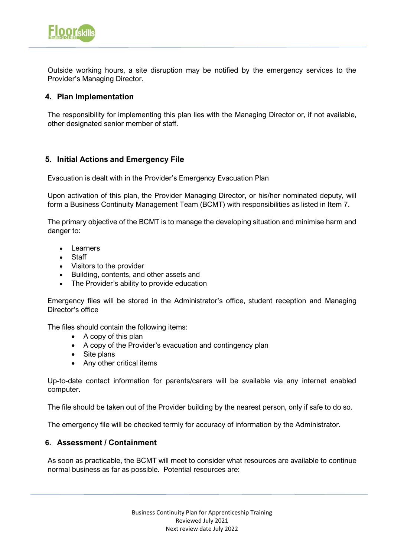

Outside working hours, a site disruption may be notified by the emergency services to the Provider's Managing Director.

### **4. Plan Implementation**

The responsibility for implementing this plan lies with the Managing Director or, if not available, other designated senior member of staff.

## **5. Initial Actions and Emergency File**

Evacuation is dealt with in the Provider's Emergency Evacuation Plan

Upon activation of this plan, the Provider Managing Director, or his/her nominated deputy, will form a Business Continuity Management Team (BCMT) with responsibilities as listed in Item 7.

The primary objective of the BCMT is to manage the developing situation and minimise harm and danger to:

- Learners
- Staff
- Visitors to the provider
- Building, contents, and other assets and
- The Provider's ability to provide education

Emergency files will be stored in the Administrator's office, student reception and Managing Director's office

The files should contain the following items:

- A copy of this plan
- A copy of the Provider's evacuation and contingency plan
- Site plans
- Any other critical items

Up-to-date contact information for parents/carers will be available via any internet enabled computer.

The file should be taken out of the Provider building by the nearest person, only if safe to do so.

The emergency file will be checked termly for accuracy of information by the Administrator.

#### **6. Assessment / Containment**

As soon as practicable, the BCMT will meet to consider what resources are available to continue normal business as far as possible. Potential resources are: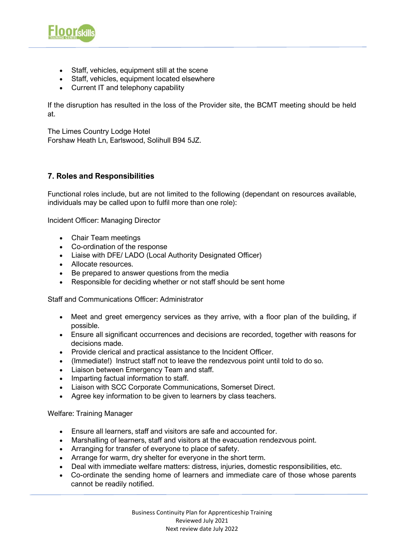

- Staff, vehicles, equipment still at the scene
- Staff, vehicles, equipment located elsewhere
- Current IT and telephony capability

If the disruption has resulted in the loss of the Provider site, the BCMT meeting should be held at.

The Limes Country Lodge Hotel Forshaw Heath Ln, Earlswood, Solihull B94 5JZ.

## **7. Roles and Responsibilities**

Functional roles include, but are not limited to the following (dependant on resources available, individuals may be called upon to fulfil more than one role):

Incident Officer: Managing Director

- Chair Team meetings
- Co-ordination of the response
- Liaise with DFE/ LADO (Local Authority Designated Officer)
- Allocate resources.
- Be prepared to answer questions from the media
- Responsible for deciding whether or not staff should be sent home

Staff and Communications Officer: Administrator

- Meet and greet emergency services as they arrive, with a floor plan of the building, if possible.
- Ensure all significant occurrences and decisions are recorded, together with reasons for decisions made.
- Provide clerical and practical assistance to the Incident Officer.
- (Immediate!) Instruct staff not to leave the rendezvous point until told to do so.
- Liaison between Emergency Team and staff.
- Imparting factual information to staff.
- Liaison with SCC Corporate Communications, Somerset Direct.
- Agree key information to be given to learners by class teachers.

Welfare: Training Manager

- Ensure all learners, staff and visitors are safe and accounted for.
- Marshalling of learners, staff and visitors at the evacuation rendezvous point.
- Arranging for transfer of everyone to place of safety.
- Arrange for warm, dry shelter for everyone in the short term.
- Deal with immediate welfare matters: distress, injuries, domestic responsibilities, etc.
- Co-ordinate the sending home of learners and immediate care of those whose parents cannot be readily notified.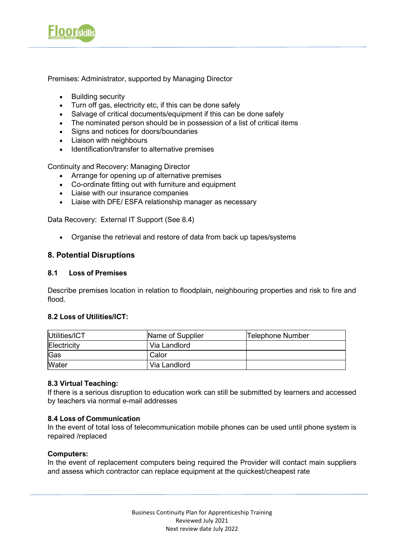

Premises: Administrator, supported by Managing Director

- Building security
- Turn off gas, electricity etc, if this can be done safely
- Salvage of critical documents/equipment if this can be done safely
- The nominated person should be in possession of a list of critical items
- Signs and notices for doors/boundaries
- Liaison with neighbours
- Identification/transfer to alternative premises

Continuity and Recovery: Managing Director

- Arrange for opening up of alternative premises
- Co-ordinate fitting out with furniture and equipment
- Liaise with our insurance companies
- Liaise with DFE/ ESFA relationship manager as necessary

Data Recovery: External IT Support (See 8.4)

• Organise the retrieval and restore of data from back up tapes/systems

#### **8. Potential Disruptions**

#### **8.1 Loss of Premises**

Describe premises location in relation to floodplain, neighbouring properties and risk to fire and flood.

#### **8.2 Loss of Utilities/ICT:**

| <b>IUtilities/ICT</b> | Name of Supplier | Telephone Number |
|-----------------------|------------------|------------------|
| Electricity           | Via Landlord     |                  |
| Gas                   | Calor            |                  |
| <b>Water</b>          | Via Landlord     |                  |

#### **8.3 Virtual Teaching:**

If there is a serious disruption to education work can still be submitted by learners and accessed by teachers via normal e-mail addresses

#### **8.4 Loss of Communication**

In the event of total loss of telecommunication mobile phones can be used until phone system is repaired /replaced

#### **Computers:**

In the event of replacement computers being required the Provider will contact main suppliers and assess which contractor can replace equipment at the quickest/cheapest rate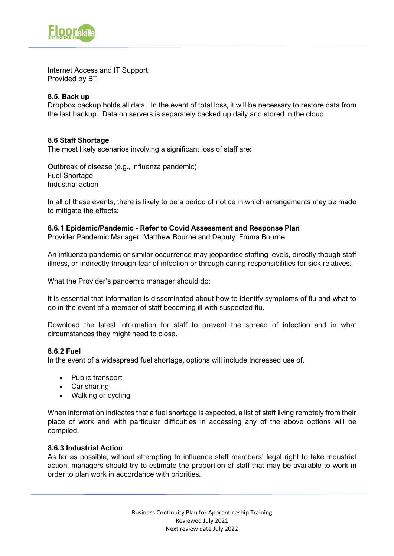

Internet Access and IT Support: Provided by BT

### **8.5. Back up**

Dropbox backup holds all data. In the event of total loss, it will be necessary to restore data from the last backup. Data on servers is separately backed up daily and stored in the cloud.

#### **8.6 Staff Shortage**

The most likely scenarios involving a significant loss of staff are:

Outbreak of disease (e.g., influenza pandemic) Fuel Shortage Industrial action

In all of these events, there is likely to be a period of notice in which arrangements may be made to mitigate the effects:

#### **8.6.1 Epidemic/Pandemic - Refer to Covid Assessment and Response Plan**

Provider Pandemic Manager: Matthew Bourne and Deputy: Emma Bourne

An influenza pandemic or similar occurrence may jeopardise staffing levels, directly though staff illness, or indirectly through fear of infection or through caring responsibilities for sick relatives.

What the Provider's pandemic manager should do:

It is essential that information is disseminated about how to identify symptoms of flu and what to do in the event of a member of staff becoming ill with suspected flu.

Download the latest information for staff to prevent the spread of infection and in what circumstances they might need to close.

#### **8.6.2 Fuel**

In the event of a widespread fuel shortage, options will include Increased use of.

- Public transport
- Car sharing
- Walking or cycling

When information indicates that a fuel shortage is expected, a list of staff living remotely from their place of work and with particular difficulties in accessing any of the above options will be compiled.

#### **8.6.3 Industrial Action**

As far as possible, without attempting to influence staff members' legal right to take industrial action, managers should try to estimate the proportion of staff that may be available to work in order to plan work in accordance with priorities.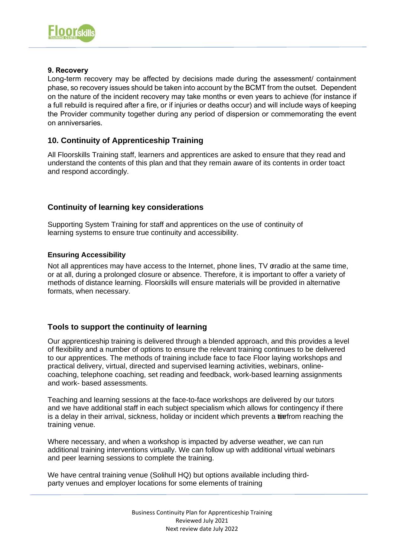

#### **9. Recovery**

Long-term recovery may be affected by decisions made during the assessment/ containment phase, so recovery issues should be taken into account by the BCMT from the outset. Dependent on the nature of the incident recovery may take months or even years to achieve (for instance if a full rebuild is required after a fire, or if injuries or deaths occur) and will include ways of keeping the Provider community together during any period of dispersion or commemorating the event on anniversaries.

## **10. Continuity of Apprenticeship Training**

All Floorskills Training staff, learners and apprentices are asked to ensure that they read and understand the contents of this plan and that they remain aware of its contents in order toact and respond accordingly.

## **Continuity of learning key considerations**

Supporting System Training for staff and apprentices on the use of continuity of learning systems to ensure true continuity and accessibility.

#### **Ensuring Accessibility**

Not all apprentices may have access to the Internet, phone lines, TV gradio at the same time, or at all, during a prolonged closure or absence. Therefore, it is important to offer a variety of methods of distance learning. Floorskills will ensure materials will be provided in alternative formats, when necessary.

#### **Tools to support the continuity of learning**

Our apprenticeship training is delivered through a blended approach, and this provides a level of flexibility and a number of options to ensure the relevant training continues to be delivered to our apprentices. The methods of training include face to face Floor laying workshops and practical delivery, virtual, directed and supervised learning activities, webinars, onlinecoaching, telephone coaching, set reading and feedback, work-based learning assignments and work- based assessments.

Teaching and learning sessions at the face-to-face workshops are delivered by our tutors and we have additional staff in each subject specialism which allows for contingency if there is a delay in their arrival, sickness, holiday or incident which prevents a tiefrom reaching the training venue.

Where necessary, and when a workshop is impacted by adverse weather, we can run additional training interventions virtually. We can follow up with additional virtual webinars and peer learning sessions to complete the training.

We have central training venue (Solihull HQ) but options available including thirdparty venues and employer locations for some elements of training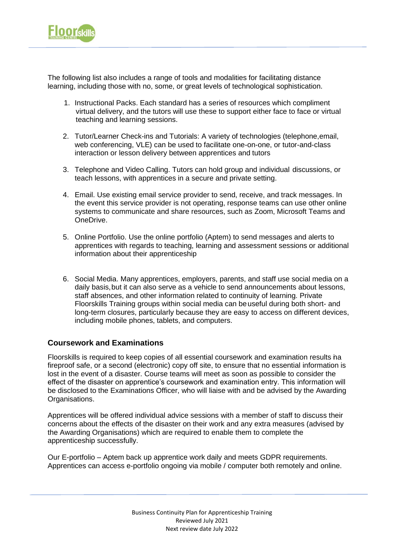

The following list also includes a range of tools and modalities for facilitating distance learning, including those with no, some, or great levels of technological sophistication.

- 1. Instructional Packs. Each standard has a series of resources which compliment virtual delivery, and the tutors will use these to support either face to face or virtual teaching and learning sessions.
- 2. Tutor/Learner Check-ins and Tutorials: A variety of technologies (telephone,email, web conferencing, VLE) can be used to facilitate one-on-one, or tutor-and-class interaction or lesson delivery between apprentices and tutors
- 3. Telephone and Video Calling. Tutors can hold group and individual discussions, or teach lessons, with apprentices in a secure and private setting.
- 4. Email. Use existing email service provider to send, receive, and track messages. In the event this service provider is not operating, response teams can use other online systems to communicate and share resources, such as Zoom, Microsoft Teams and OneDrive.
- 5. Online Portfolio. Use the online portfolio (Aptem) to send messages and alerts to apprentices with regards to teaching, learning and assessment sessions or additional information about their apprenticeship
- 6. Social Media. Many apprentices, employers, parents, and staff use social media on a daily basis, but it can also serve as a vehicle to send announcements about lessons, staff absences, and other information related to continuity of learning. Private Floorskills Training groups within social media can be useful during both short- and long-term closures, particularly because they are easy to access on different devices, including mobile phones, tablets, and computers.

#### **Coursework and Examinations**

Floorskills is required to keep copies of all essential coursework and examination results ina fireproof safe, or a second (electronic) copy off site, to ensure that no essential information is lost in the event of a disaster. Course teams will meet as soon as possible to consider the effect of the disaster on apprentice's coursework and examination entry. This information will be disclosed to the Examinations Officer, who will liaise with and be advised by the Awarding Organisations.

Apprentices will be offered individual advice sessions with a member of staff to discuss their concerns about the effects of the disaster on their work and any extra measures (advised by the Awarding Organisations) which are required to enable them to complete the apprenticeship successfully.

Our E-portfolio – Aptem back up apprentice work daily and meets GDPR requirements. Apprentices can access e-portfolio ongoing via mobile / computer both remotely and online.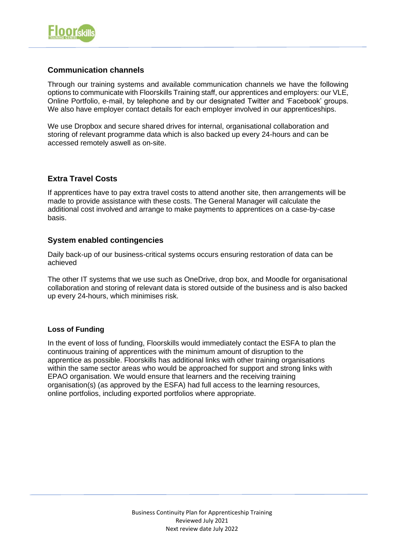

## **Communication channels**

Through our training systems and available communication channels we have the following options to communicate with Floorskills Training staff, our apprentices and employers: our VLE, Online Portfolio, e-mail, by telephone and by our designated Twitter and 'Facebook' groups. We also have employer contact details for each employer involved in our apprenticeships.

We use Dropbox and secure shared drives for internal, organisational collaboration and storing of relevant programme data which is also backed up every 24-hours and can be accessed remotely aswell as on-site.

## **Extra Travel Costs**

If apprentices have to pay extra travel costs to attend another site, then arrangements will be made to provide assistance with these costs. The General Manager will calculate the additional cost involved and arrange to make payments to apprentices on a case-by-case basis.

## **System enabled contingencies**

Daily back-up of our business-critical systems occurs ensuring restoration of data can be achieved

The other IT systems that we use such as OneDrive, drop box, and Moodle for organisational collaboration and storing of relevant data is stored outside of the business and is also backed up every 24-hours, which minimises risk.

#### **Loss of Funding**

In the event of loss of funding, Floorskills would immediately contact the ESFA to plan the continuous training of apprentices with the minimum amount of disruption to the apprentice as possible. Floorskills has additional links with other training organisations within the same sector areas who would be approached for support and strong links with EPAO organisation. We would ensure that learners and the receiving training organisation(s) (as approved by the ESFA) had full access to the learning resources, online portfolios, including exported portfolios where appropriate.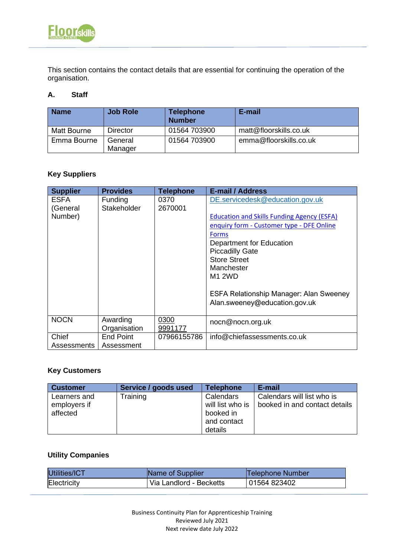

This section contains the contact details that are essential for continuing the operation of the organisation.

#### **A. Staff**

| <b>Name</b> | <b>Job Role</b>    | <b>Telephone</b><br><b>Number</b> | E-mail                 |
|-------------|--------------------|-----------------------------------|------------------------|
| Matt Bourne | Director           | 01564 703900                      | matt@floorskills.co.uk |
| Emma Bourne | General<br>Manager | 01564 703900                      | emma@floorskills.co.uk |

# **Key Suppliers**

| <b>Supplier</b> | <b>Provides</b>  | <b>Telephone</b> | <b>E-mail / Address</b>                           |
|-----------------|------------------|------------------|---------------------------------------------------|
| <b>ESFA</b>     | <b>Funding</b>   | 0370             | DE.servicedesk@education.gov.uk                   |
| (General        | Stakeholder      | 2670001          |                                                   |
| Number)         |                  |                  | <b>Education and Skills Funding Agency (ESFA)</b> |
|                 |                  |                  | enquiry form - Customer type - DFE Online         |
|                 |                  |                  | <b>Forms</b>                                      |
|                 |                  |                  | Department for Education                          |
|                 |                  |                  | <b>Piccadilly Gate</b>                            |
|                 |                  |                  | <b>Store Street</b>                               |
|                 |                  |                  | Manchester                                        |
|                 |                  |                  | <b>M1 2WD</b>                                     |
|                 |                  |                  |                                                   |
|                 |                  |                  | <b>ESFA Relationship Manager: Alan Sweeney</b>    |
|                 |                  |                  | Alan.sweeney@education.gov.uk                     |
|                 |                  |                  |                                                   |
| <b>NOCN</b>     | Awarding         | 0300             | nocn@nocn.org.uk                                  |
|                 | Organisation     | 9991177          |                                                   |
| Chief           | <b>End Point</b> | 07966155786      | info@chiefassessments.co.uk                       |
| Assessments     | Assessment       |                  |                                                   |

## **Key Customers**

| <b>Customer</b>              | Service / goods used | <b>Telephone</b>              | E-mail                                                      |
|------------------------------|----------------------|-------------------------------|-------------------------------------------------------------|
| Learners and<br>employers if | Training             | Calendars<br>will list who is | Calendars will list who is<br>booked in and contact details |
| affected                     |                      | booked in                     |                                                             |
|                              |                      | and contact                   |                                                             |
|                              |                      | details                       |                                                             |

# **Utility Companies**

| Utilities/ICT | Name of Supplier        | Telephone Number |
|---------------|-------------------------|------------------|
| Electricity   | Via Landlord - Becketts | 01564 823402     |